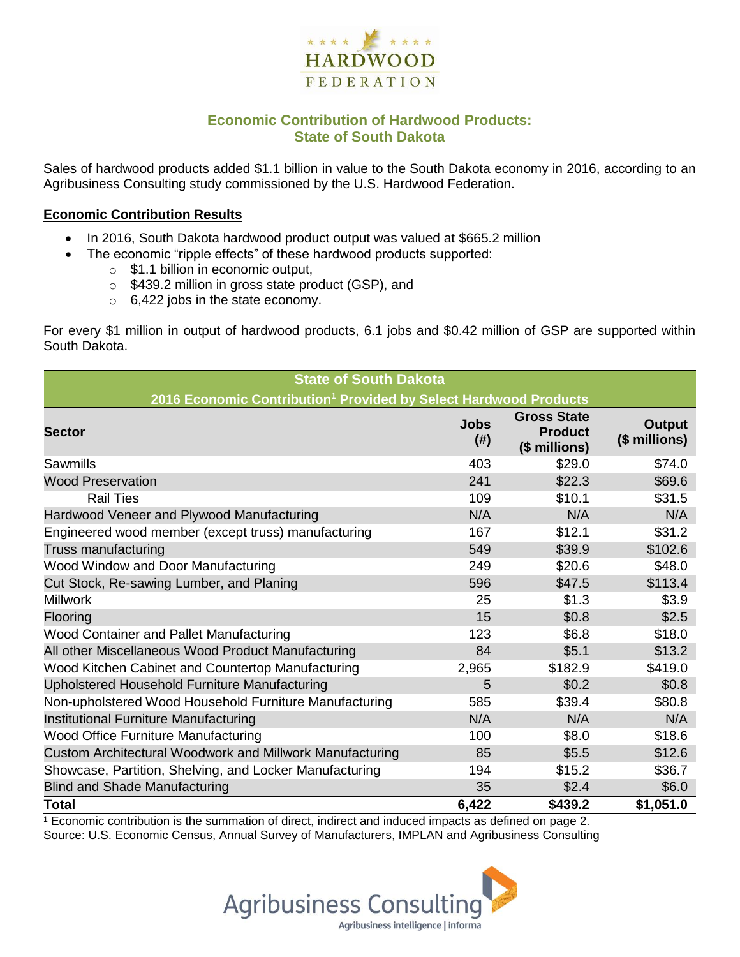

# **Economic Contribution of Hardwood Products: State of South Dakota**

Sales of hardwood products added \$1.1 billion in value to the South Dakota economy in 2016, according to an Agribusiness Consulting study commissioned by the U.S. Hardwood Federation.

#### **Economic Contribution Results**

- In 2016, South Dakota hardwood product output was valued at \$665.2 million
	- The economic "ripple effects" of these hardwood products supported:
		- o \$1.1 billion in economic output,
		- o \$439.2 million in gross state product (GSP), and
		- o 6,422 jobs in the state economy.

For every \$1 million in output of hardwood products, 6.1 jobs and \$0.42 million of GSP are supported within South Dakota.

| <b>State of South Dakota</b>                                                 |                       |                                                       |                         |  |  |  |  |
|------------------------------------------------------------------------------|-----------------------|-------------------------------------------------------|-------------------------|--|--|--|--|
| 2016 Economic Contribution <sup>1</sup> Provided by Select Hardwood Products |                       |                                                       |                         |  |  |  |  |
| <b>Sector</b>                                                                | <b>Jobs</b><br>$(\#)$ | <b>Gross State</b><br><b>Product</b><br>(\$ millions) | Output<br>(\$ millions) |  |  |  |  |
| Sawmills                                                                     | 403                   | \$29.0                                                | \$74.0                  |  |  |  |  |
| <b>Wood Preservation</b>                                                     | 241                   | \$22.3                                                | \$69.6                  |  |  |  |  |
| <b>Rail Ties</b>                                                             | 109                   | \$10.1                                                | \$31.5                  |  |  |  |  |
| Hardwood Veneer and Plywood Manufacturing                                    | N/A                   | N/A                                                   | N/A                     |  |  |  |  |
| Engineered wood member (except truss) manufacturing                          | 167                   | \$12.1                                                | \$31.2                  |  |  |  |  |
| Truss manufacturing                                                          | 549                   | \$39.9                                                | \$102.6                 |  |  |  |  |
| Wood Window and Door Manufacturing                                           | 249                   | \$20.6                                                | \$48.0                  |  |  |  |  |
| Cut Stock, Re-sawing Lumber, and Planing                                     | 596                   | \$47.5                                                | \$113.4                 |  |  |  |  |
| <b>Millwork</b>                                                              | 25                    | \$1.3                                                 | \$3.9                   |  |  |  |  |
| Flooring                                                                     | 15                    | \$0.8                                                 | \$2.5                   |  |  |  |  |
| <b>Wood Container and Pallet Manufacturing</b>                               | 123                   | \$6.8                                                 | \$18.0                  |  |  |  |  |
| All other Miscellaneous Wood Product Manufacturing                           | 84                    | \$5.1                                                 | \$13.2                  |  |  |  |  |
| Wood Kitchen Cabinet and Countertop Manufacturing                            | 2,965                 | \$182.9                                               | \$419.0                 |  |  |  |  |
| Upholstered Household Furniture Manufacturing                                | 5                     | \$0.2                                                 | \$0.8                   |  |  |  |  |
| Non-upholstered Wood Household Furniture Manufacturing                       | 585                   | \$39.4                                                | \$80.8                  |  |  |  |  |
| Institutional Furniture Manufacturing                                        | N/A                   | N/A                                                   | N/A                     |  |  |  |  |
| Wood Office Furniture Manufacturing                                          | 100                   | \$8.0                                                 | \$18.6                  |  |  |  |  |
| Custom Architectural Woodwork and Millwork Manufacturing                     | 85                    | \$5.5                                                 | \$12.6                  |  |  |  |  |
| Showcase, Partition, Shelving, and Locker Manufacturing                      | 194                   | \$15.2                                                | \$36.7                  |  |  |  |  |
| <b>Blind and Shade Manufacturing</b>                                         | 35                    | \$2.4                                                 | \$6.0                   |  |  |  |  |
| <b>Total</b>                                                                 | 6,422                 | \$439.2                                               | \$1,051.0               |  |  |  |  |

 $1$  Economic contribution is the summation of direct, indirect and induced impacts as defined on page 2. Source: U.S. Economic Census, Annual Survey of Manufacturers, IMPLAN and Agribusiness Consulting